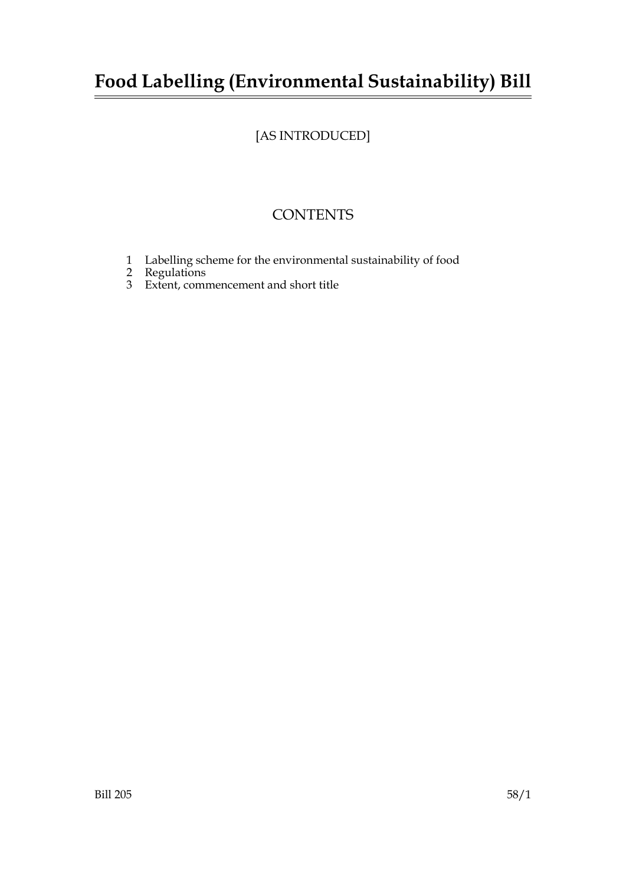# **Food Labelling (Environmental Sustainability) Bill**

## [AS INTRODUCED]

# **CONTENTS**

- 1 Labelling scheme for the environmental sustainability of food
- 2 Regulations
- 3 Extent, commencement and short title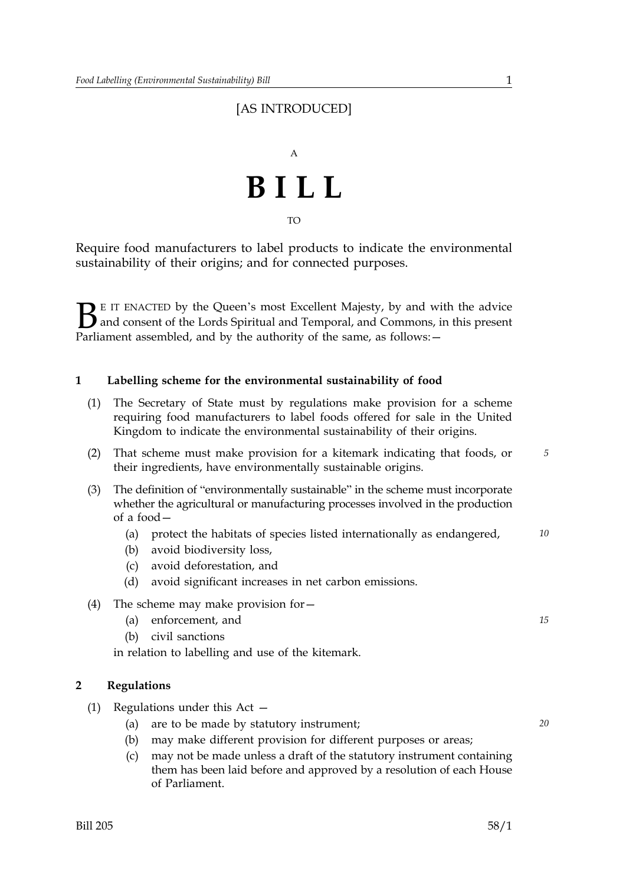## [AS INTRODUCED]



TO

Require food manufacturers to label products to indicate the environmental sustainability of their origins; and for connected purposes.

 $\sum$  E IT ENACTED by the Queen's most Excellent Majesty, by and with the advice<br>and consent of the Lords Spiritual and Temporal, and Commons, in this present<br>Parliament assembled, and by the authority of the same as follo and consent of the Lords Spiritual and Temporal, and Commons, in this present Parliament assembled, and by the authority of the same, as follows: -

## **1 Labelling scheme for the environmental sustainability of food**

- (1) The Secretary of State must by regulations make provision for a scheme requiring food manufacturers to label foods offered for sale in the United Kingdom to indicate the environmental sustainability of their origins.
- (2) That scheme must make provision for a kitemark indicating that foods, or *5*  their ingredients, have environmentally sustainable origins.
- (3) The definition of "environmentally sustainable" in the scheme must incorporate whether the agricultural or manufacturing processes involved in the production of a food—
	- (a) protect the habitats of species listed internationally as endangered, *10*
	- (b) avoid biodiversity loss,
	- (c) avoid deforestation, and
	- (d) avoid significant increases in net carbon emissions.

#### (4) The scheme may make provision for—

- (a) enforcement, and *15*
- (b) civil sanctions

in relation to labelling and use of the kitemark.

## **2 Regulations**

- (1) Regulations under this Act
	- (a) are to be made by statutory instrument; *20*
- - (b) may make different provision for different purposes or areas;
	- (c) may not be made unless a draft of the statutory instrument containing them has been laid before and approved by a resolution of each House of Parliament.